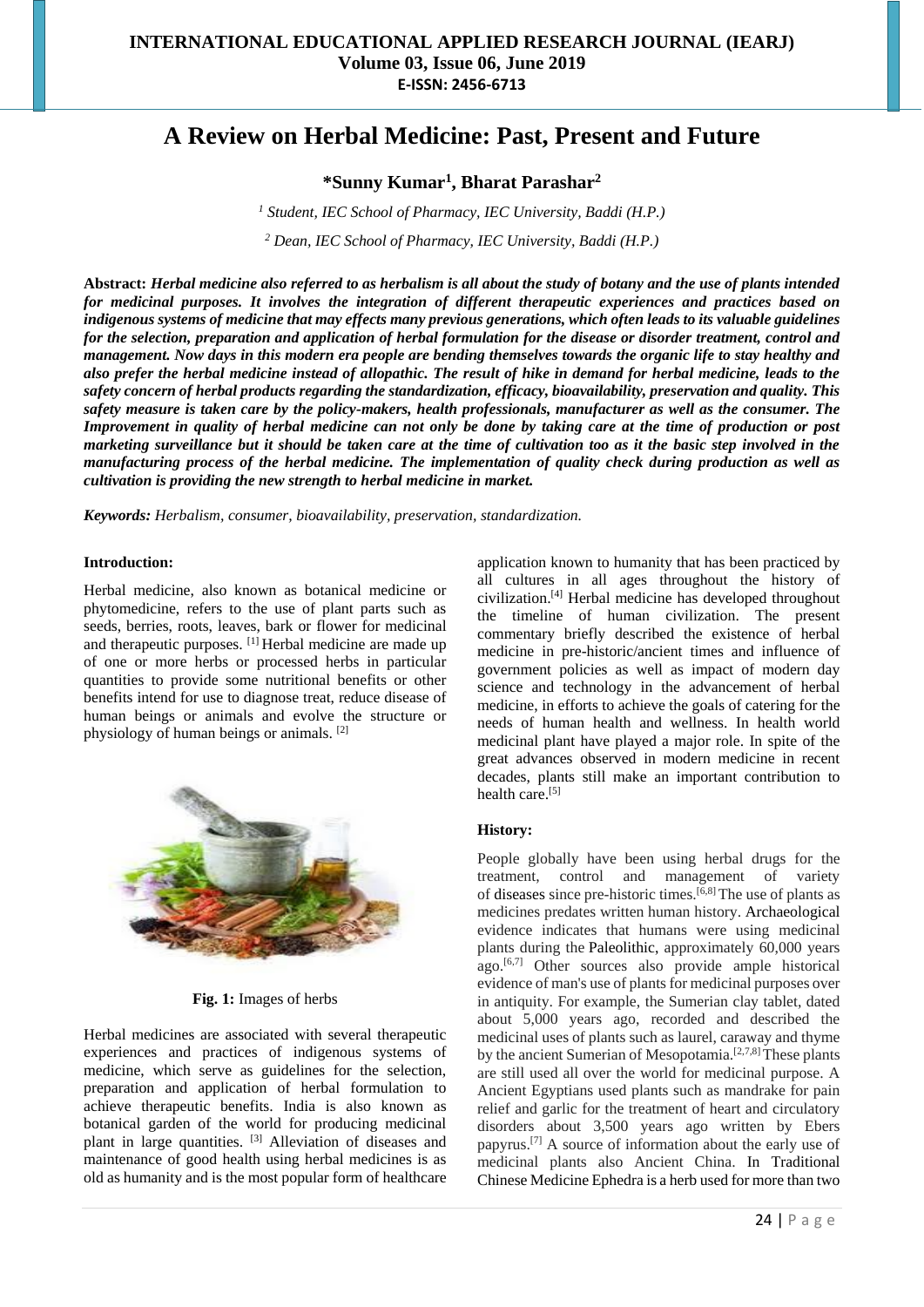# **A Review on Herbal Medicine: Past, Present and Future**

**\*Sunny Kumar<sup>1</sup> , Bharat Parashar<sup>2</sup>**

*<sup>1</sup> Student, IEC School of Pharmacy, IEC University, Baddi (H.P.) <sup>2</sup> Dean, IEC School of Pharmacy, IEC University, Baddi (H.P.)*

**Abstract:** *Herbal medicine also referred to as herbalism is all about the study of botany and the use of plants intended for medicinal purposes. It involves the integration of different therapeutic experiences and practices based on indigenous systems of medicine that may effects many previous generations, which often leads to its valuable guidelines for the selection, preparation and application of herbal formulation for the disease or disorder treatment, control and management. Now days in this modern era people are bending themselves towards the organic life to stay healthy and also prefer the herbal medicine instead of allopathic. The result of hike in demand for herbal medicine, leads to the safety concern of herbal products regarding the standardization, efficacy, bioavailability, preservation and quality. This safety measure is taken care by the policy-makers, health professionals, manufacturer as well as the consumer. The Improvement in quality of herbal medicine can not only be done by taking care at the time of production or post marketing surveillance but it should be taken care at the time of cultivation too as it the basic step involved in the manufacturing process of the herbal medicine. The implementation of quality check during production as well as cultivation is providing the new strength to herbal medicine in market.*

*Keywords: Herbalism, consumer, bioavailability, preservation, standardization.*

#### **Introduction:**

Herbal medicine, also known as botanical medicine or phytomedicine, refers to the use of plant parts such as seeds, berries, roots, leaves, bark or flower for medicinal and therapeutic purposes. [1] Herbal medicine are made up of one or more herbs or processed herbs in particular quantities to provide some nutritional benefits or other benefits intend for use to diagnose treat, reduce disease of human beings or animals and evolve the structure or physiology of human beings or animals. [2]



**Fig. 1:** Images of herbs

Herbal medicines are associated with several therapeutic experiences and practices of indigenous systems of medicine, which serve as guidelines for the selection, preparation and application of herbal formulation to achieve therapeutic benefits. India is also known as botanical garden of the world for producing medicinal plant in large quantities. <sup>[3]</sup> Alleviation of diseases and maintenance of good health using herbal medicines is as old as humanity and is the most popular form of healthcare

application known to humanity that has been practiced by all cultures in all ages throughout the history of civilization.[4] Herbal medicine has developed throughout the timeline of human civilization. The present commentary briefly described the existence of herbal medicine in pre-historic/ancient times and influence of government policies as well as impact of modern day science and technology in the advancement of herbal medicine, in efforts to achieve the goals of catering for the needs of human health and wellness. In health world medicinal plant have played a major role. In spite of the great advances observed in modern medicine in recent decades, plants still make an important contribution to health care.<sup>[5]</sup>

#### **History:**

People globally have been using herbal drugs for the treatment, control and management of variety of diseases since pre-historic times.<sup>[6,8]</sup> The use of plants as medicines predates written human history. Archaeological evidence indicates that humans were using medicinal plants during the Paleolithic, approximately 60,000 years ago. $[6,7]$  Other sources also provide ample historical evidence of man's use of plants for medicinal purposes over in antiquity. For example, the Sumerian clay tablet, dated about 5,000 years ago, recorded and described the medicinal uses of plants such as laurel, caraway and thyme by the ancient Sumerian of Mesopotamia.<sup>[2,7,8]</sup> These plants are still used all over the world for medicinal purpose. A Ancient Egyptians used plants such as mandrake for pain relief and garlic for the treatment of heart and circulatory disorders about 3,500 years ago written by Ebers papyrus.[7] A source of information about the early use of medicinal plants also Ancient China. In Traditional Chinese Medicine Ephedra is a herb used for more than two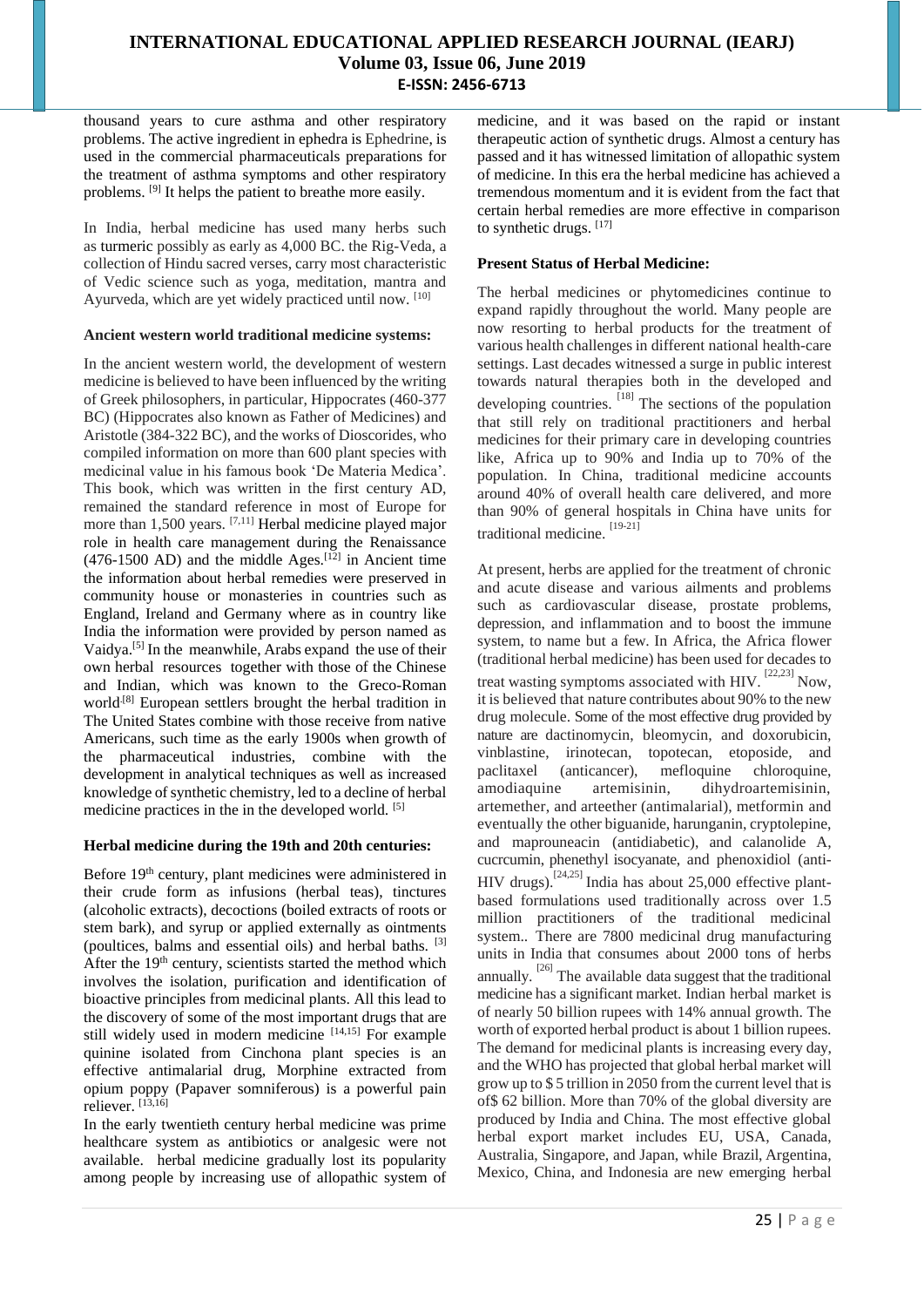thousand years to cure asthma and other respiratory problems. The active ingredient in ephedra is Ephedrine, is used in the commercial pharmaceuticals preparations for the treatment of asthma symptoms and other respiratory problems. [9] It helps the patient to breathe more easily.

In India, herbal medicine has used many herbs such as turmeric possibly as early as 4,000 BC. the Rig-Veda, a collection of Hindu sacred verses, carry most characteristic of Vedic science such as yoga, meditation, mantra and Ayurveda, which are yet widely practiced until now. [10]

### **Ancient western world traditional medicine systems:**

In the ancient western world, the development of western medicine is believed to have been influenced by the writing of Greek philosophers, in particular, Hippocrates (460-377 BC) (Hippocrates also known as Father of Medicines) and Aristotle (384-322 BC), and the works of Dioscorides, who compiled information on more than 600 plant species with medicinal value in his famous book 'De Materia Medica'. This book, which was written in the first century AD, remained the standard reference in most of Europe for more than 1,500 years. [7,11] Herbal medicine played major role in health care management during the Renaissance  $(476-1500$  AD) and the middle Ages.<sup>[12]</sup> in Ancient time the information about herbal remedies were preserved in community house or monasteries in countries such as England, Ireland and Germany where as in country like India the information were provided by person named as Vaidya.[5] In the meanwhile, Arabs expand the use of their own herbal resources together with those of the Chinese and Indian, which was known to the Greco-Roman world<sup>[8]</sup> European settlers brought the herbal tradition in The United States combine with those receive from native Americans, such time as the early 1900s when growth of the pharmaceutical industries, combine with the development in analytical techniques as well as increased knowledge of synthetic chemistry, led to a decline of herbal medicine practices in the in the developed world. [5]

# **Herbal medicine during the 19th and 20th centuries:**

Before 19th century, plant medicines were administered in their crude form as infusions (herbal teas), tinctures (alcoholic extracts), decoctions (boiled extracts of roots or stem bark), and syrup or applied externally as ointments (poultices, balms and essential oils) and herbal baths. [3] After the 19<sup>th</sup> century, scientists started the method which involves the isolation, purification and identification of bioactive principles from medicinal plants. All this lead to the discovery of some of the most important drugs that are still widely used in modern medicine  $[14,15]$  For example quinine isolated from Cinchona plant species is an effective antimalarial drug, Morphine extracted from opium poppy (Papaver somniferous) is a powerful pain reliever.  $^{177}$ 

In the early twentieth century herbal medicine was prime healthcare system as antibiotics or analgesic were not available. herbal medicine gradually lost its popularity among people by increasing use of allopathic system of

medicine, and it was based on the rapid or instant therapeutic action of synthetic drugs. Almost a century has passed and it has witnessed limitation of allopathic system of medicine. In this era the herbal medicine has achieved a tremendous momentum and it is evident from the fact that certain herbal remedies are more effective in comparison to synthetic drugs. [17]

# **Present Status of Herbal Medicine:**

The herbal medicines or phytomedicines continue to expand rapidly throughout the world. Many people are now resorting to herbal products for the treatment of various health challenges in different national health-care settings. Last decades witnessed a surge in public interest towards natural therapies both in the developed and developing countries.  $^{[18]}$  The sections of the population that still rely on traditional practitioners and herbal medicines for their primary care in developing countries like, Africa up to 90% and India up to 70% of the population. In China, traditional medicine accounts around 40% of overall health care delivered, and more than 90% of general hospitals in China have units for traditional medicine. [19-21]

At present, herbs are applied for the treatment of chronic and acute disease and various ailments and problems such as cardiovascular disease, prostate problems, depression, and inflammation and to boost the immune system, to name but a few. In Africa, the Africa flower (traditional herbal medicine) has been used for decades to treat wasting symptoms associated with HIV. <sup>[22,23]</sup> Now. it is believed that nature contributes about 90% to the new drug molecule. Some of the most effective drug provided by nature are dactinomycin, bleomycin, and doxorubicin, vinblastine, irinotecan, topotecan, etoposide, and paclitaxel (anticancer), mefloquine chloroquine, amodiaquine artemisinin, dihydroartemisinin, artemether, and arteether (antimalarial), metformin and eventually the other biguanide, harunganin, cryptolepine, and maprouneacin (antidiabetic), and calanolide A, cucrcumin, phenethyl isocyanate, and phenoxidiol (anti-HIV drugs).<sup>[24,25]</sup> India has about 25,000 effective plantbased formulations used traditionally across over 1.5 million practitioners of the traditional medicinal system.. There are 7800 medicinal drug manufacturing units in India that consumes about 2000 tons of herbs annually.  $^{[26]}$  The available data suggest that the traditional medicine has a significant market. Indian herbal market is of nearly 50 billion rupees with 14% annual growth. The worth of exported herbal product is about 1 billion rupees. The demand for medicinal plants is increasing every day, and the WHO has projected that global herbal market will grow up to \$ 5 trillion in 2050 from the current level that is of\$ 62 billion. More than 70% of the global diversity are produced by India and China. The most effective global herbal export market includes EU, USA, Canada, Australia, Singapore, and Japan, while Brazil, Argentina, Mexico, China, and Indonesia are new emerging herbal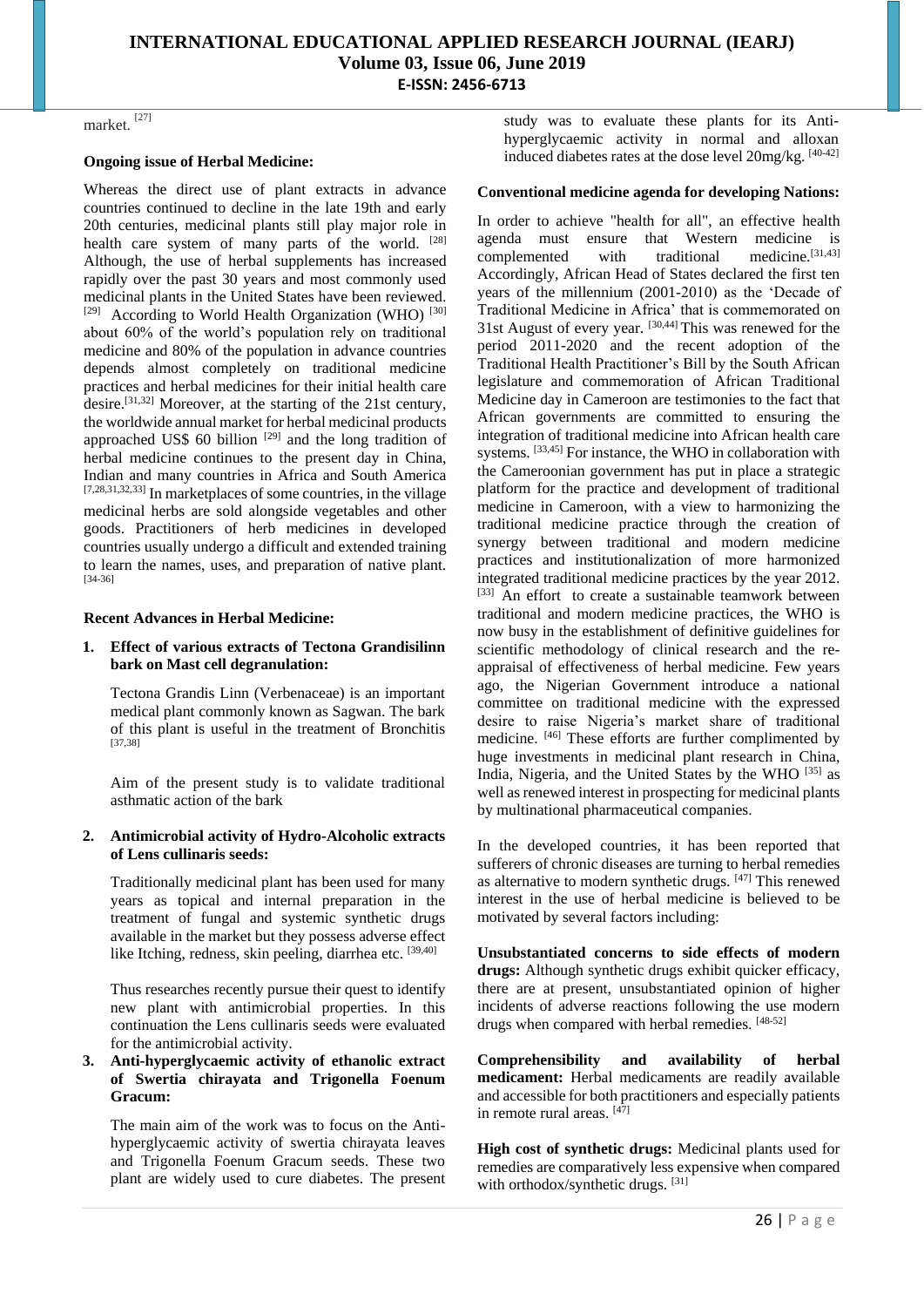market. [27]

#### **Ongoing issue of Herbal Medicine:**

Whereas the direct use of plant extracts in advance countries continued to decline in the late 19th and early 20th centuries, medicinal plants still play major role in health care system of many parts of the world. [28] Although, the use of herbal supplements has increased rapidly over the past 30 years and most commonly used medicinal plants in the United States have been reviewed. <sup>[29]</sup> According to World Health Organization (WHO)<sup>[30]</sup> about 60% of the world's population rely on traditional medicine and 80% of the population in advance countries depends almost completely on traditional medicine practices and herbal medicines for their initial health care desire.[31,32] Moreover, at the starting of the 21st century, the worldwide annual market for herbal medicinal products approached US\$ 60 billion  $[29]$  and the long tradition of herbal medicine continues to the present day in China, Indian and many countries in Africa and South America  $[7,28,31,32,33]$  In marketplaces of some countries, in the village medicinal herbs are sold alongside vegetables and other goods. Practitioners of herb medicines in developed countries usually undergo a difficult and extended training to learn the names, uses, and preparation of native plant. [34-36]

#### **Recent Advances in Herbal Medicine:**

#### **1. Effect of various extracts of Tectona Grandisilinn bark on Mast cell degranulation:**

Tectona Grandis Linn (Verbenaceae) is an important medical plant commonly known as Sagwan. The bark of this plant is useful in the treatment of Bronchitis [37,38]

Aim of the present study is to validate traditional asthmatic action of the bark

#### **2. Antimicrobial activity of Hydro-Alcoholic extracts of Lens cullinaris seeds:**

Traditionally medicinal plant has been used for many years as topical and internal preparation in the treatment of fungal and systemic synthetic drugs available in the market but they possess adverse effect like Itching, redness, skin peeling, diarrhea etc. [39,40]

Thus researches recently pursue their quest to identify new plant with antimicrobial properties. In this continuation the Lens cullinaris seeds were evaluated for the antimicrobial activity.

## **3. Anti-hyperglycaemic activity of ethanolic extract of Swertia chirayata and Trigonella Foenum Gracum:**

The main aim of the work was to focus on the Antihyperglycaemic activity of swertia chirayata leaves and Trigonella Foenum Gracum seeds. These two plant are widely used to cure diabetes. The present study was to evaluate these plants for its Antihyperglycaemic activity in normal and alloxan induced diabetes rates at the dose level 20mg/kg. [40-42]

#### **Conventional medicine agenda for developing Nations:**

In order to achieve "health for all", an effective health agenda must ensure that Western medicine is complemented with traditional medicine. $[31,43]$ Accordingly, African Head of States declared the first ten years of the millennium (2001-2010) as the 'Decade of Traditional Medicine in Africa' that is commemorated on 31st August of every year. [30,44] This was renewed for the period 2011-2020 and the recent adoption of the Traditional Health Practitioner's Bill by the South African legislature and commemoration of African Traditional Medicine day in Cameroon are testimonies to the fact that African governments are committed to ensuring the integration of traditional medicine into African health care systems. [33,45] For instance, the WHO in collaboration with the Cameroonian government has put in place a strategic platform for the practice and development of traditional medicine in Cameroon, with a view to harmonizing the traditional medicine practice through the creation of synergy between traditional and modern medicine practices and institutionalization of more harmonized integrated traditional medicine practices by the year 2012. [33] An effort to create a sustainable teamwork between traditional and modern medicine practices, the WHO is now busy in the establishment of definitive guidelines for scientific methodology of clinical research and the reappraisal of effectiveness of herbal medicine. Few years ago, the Nigerian Government introduce a national committee on traditional medicine with the expressed desire to raise Nigeria's market share of traditional medicine. [46] These efforts are further complimented by huge investments in medicinal plant research in China, India, Nigeria, and the United States by the WHO  $^{[35]}$  as well as renewed interest in prospecting for medicinal plants by multinational pharmaceutical companies.

In the developed countries, it has been reported that sufferers of chronic diseases are turning to herbal remedies as alternative to modern synthetic drugs. [47] This renewed interest in the use of herbal medicine is believed to be motivated by several factors including:

**Unsubstantiated concerns to side effects of modern drugs:** Although synthetic drugs exhibit quicker efficacy, there are at present, unsubstantiated opinion of higher incidents of adverse reactions following the use modern drugs when compared with herbal remedies. [48-52]

**Comprehensibility and availability of herbal medicament:** Herbal medicaments are readily available and accessible for both practitioners and especially patients in remote rural areas.  $[47]$ 

**High cost of synthetic drugs:** Medicinal plants used for remedies are comparatively less expensive when compared with orthodox/synthetic drugs. [31]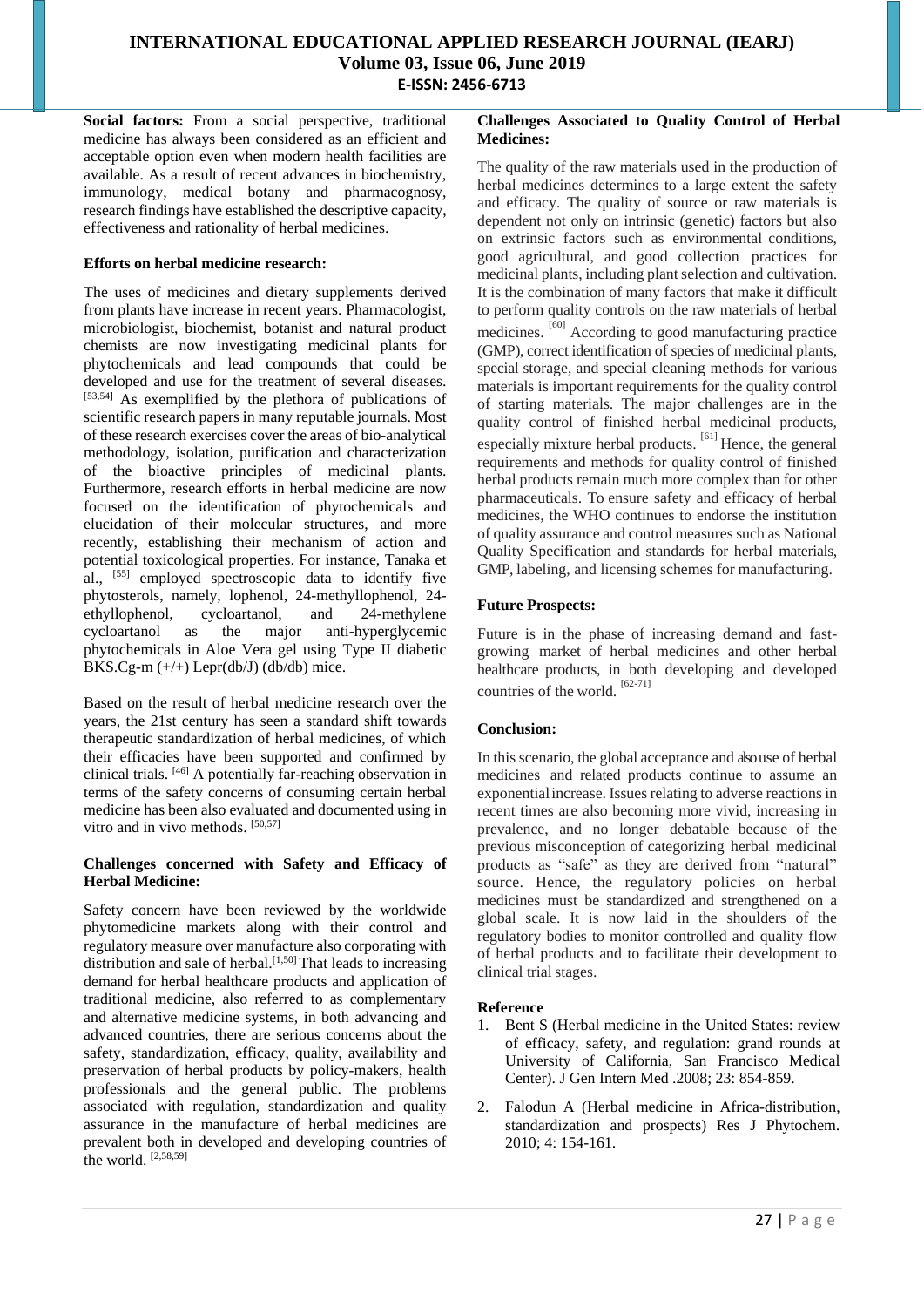Social factors: From a social perspective, traditional medicine has always been considered as an efficient and acceptable option even when modern health facilities are available. As a result of recent advances in biochemistry, immunology, medical botany and pharmacognosy, research findings have established the descriptive capacity, effectiveness and rationality of herbal medicines.

## **Efforts on herbal medicine research:**

The uses of medicines and dietary supplements derived from plants have increase in recent years. Pharmacologist, microbiologist, biochemist, botanist and natural product chemists are now investigating medicinal plants for phytochemicals and lead compounds that could be developed and use for the treatment of several diseases. [53,54] As exemplified by the plethora of publications of scientific research papers in many reputable journals. Most of these research exercises cover the areas of bio-analytical methodology, isolation, purification and characterization of the bioactive principles of medicinal plants. Furthermore, research efforts in herbal medicine are now focused on the identification of phytochemicals and elucidation of their molecular structures, and more recently, establishing their mechanism of action and potential toxicological properties. For instance, Tanaka et al., [55] employed spectroscopic data to identify five phytosterols, namely, lophenol, 24-methyllophenol, 24 ethyllophenol, cycloartanol, and 24-methylene cycloartanol as the major anti-hyperglycemic phytochemicals in Aloe Vera gel using Type II diabetic BKS.Cg-m  $(+/+)$  Lepr(db/J) (db/db) mice.

Based on the result of herbal medicine research over the years, the 21st century has seen a standard shift towards therapeutic standardization of herbal medicines, of which their efficacies have been supported and confirmed by clinical trials. [46] A potentially far-reaching observation in terms of the safety concerns of consuming certain herbal medicine has been also evaluated and documented using in vitro and in vivo methods. [50,57]

## **Challenges concerned with Safety and Efficacy of Herbal Medicine:**

Safety concern have been reviewed by the worldwide phytomedicine markets along with their control and regulatory measure over manufacture also corporating with distribution and sale of herbal.<sup>[1,50]</sup> That leads to increasing demand for herbal healthcare products and application of traditional medicine, also referred to as complementary and alternative medicine systems, in both advancing and advanced countries, there are serious concerns about the safety, standardization, efficacy, quality, availability and preservation of herbal products by policy-makers, health professionals and the general public. The problems associated with regulation, standardization and quality assurance in the manufacture of herbal medicines are prevalent both in developed and developing countries of the world. [2,58,59]

## **Challenges Associated to Quality Control of Herbal Medicines:**

The quality of the raw materials used in the production of herbal medicines determines to a large extent the safety and efficacy. The quality of source or raw materials is dependent not only on intrinsic (genetic) factors but also on extrinsic factors such as environmental conditions, good agricultural, and good collection practices for medicinal plants, including plant selection and cultivation. It is the combination of many factors that make it difficult to perform quality controls on the raw materials of herbal medicines. <sup>[60]</sup> According to good manufacturing practice (GMP), correct identification of species of medicinal plants, special storage, and special cleaning methods for various materials is important requirements for the quality control of starting materials. The major challenges are in the quality control of finished herbal medicinal products, especially mixture herbal products. [61] Hence, the general requirements and methods for quality control of finished herbal products remain much more complex than for other pharmaceuticals. To ensure safety and efficacy of herbal medicines, the WHO continues to endorse the institution of quality assurance and control measures such as National Quality Specification and standards for herbal materials, GMP, labeling, and licensing schemes for manufacturing.

# **Future Prospects:**

Future is in the phase of increasing demand and fastgrowing market of herbal medicines and other herbal healthcare products, in both developing and developed countries of the world.  $\left[62-71\right]$ 

# **Conclusion:**

In this scenario, the global acceptance and also use of herbal medicines and related products continue to assume an exponentialincrease. Issues relating to adverse reactions in recent times are also becoming more vivid, increasing in prevalence, and no longer debatable because of the previous misconception of categorizing herbal medicinal products as "safe" as they are derived from "natural" source. Hence, the regulatory policies on herbal medicines must be standardized and strengthened on a global scale. It is now laid in the shoulders of the regulatory bodies to monitor controlled and quality flow of herbal products and to facilitate their development to clinical trial stages.

# **Reference**

- 1. Bent S (Herbal medicine in the United States: review of efficacy, safety, and regulation: grand rounds at University of California, San Francisco Medical Center). J Gen Intern Med .2008; 23: 854-859.
- 2. Falodun A (Herbal medicine in Africa-distribution, standardization and prospects) Res J Phytochem. 2010; 4: 154-161.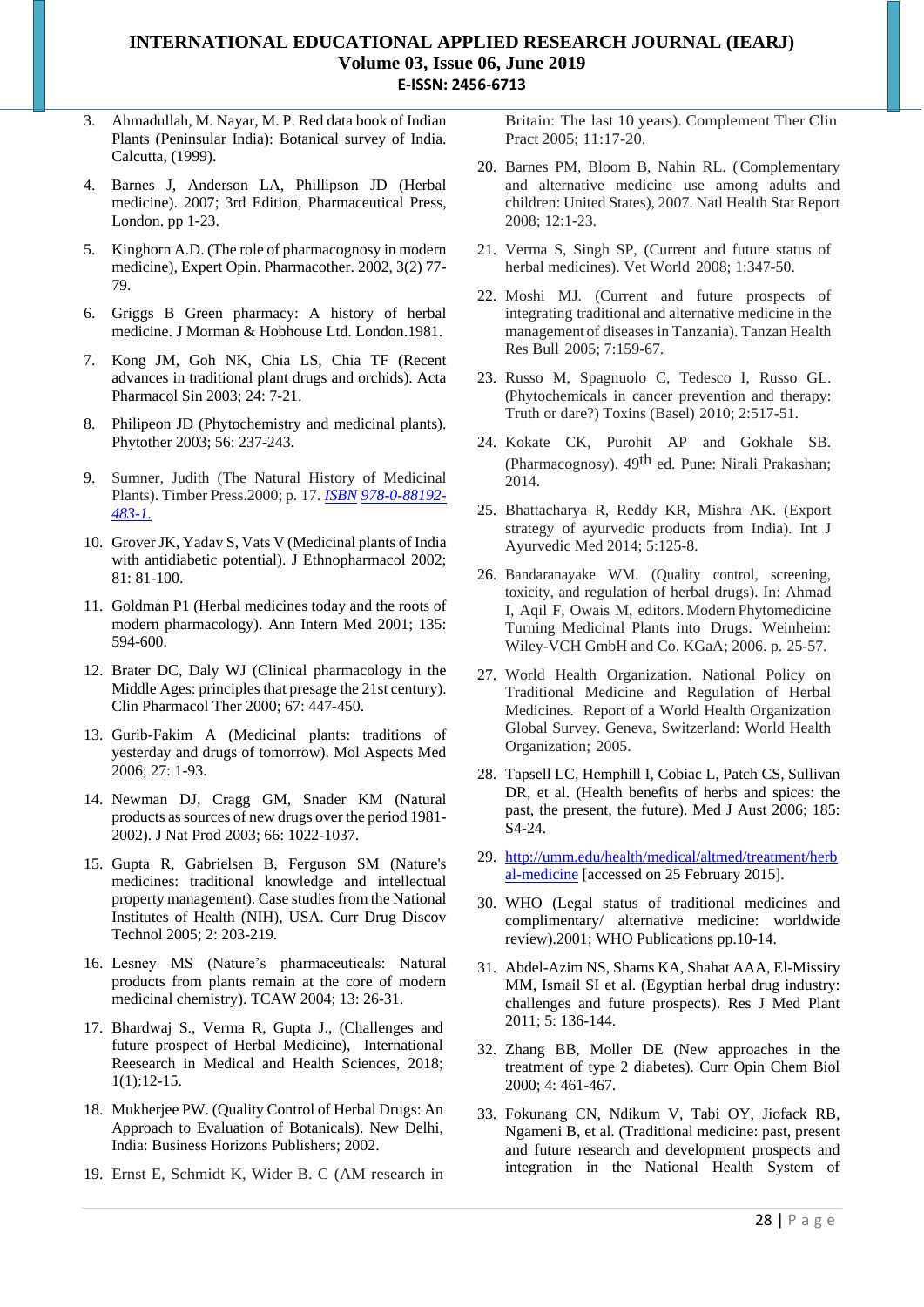- 3. Ahmadullah, M. Nayar, M. P. Red data book of Indian Plants (Peninsular India): Botanical survey of India. Calcutta, (1999).
- 4. Barnes J, Anderson LA, Phillipson JD (Herbal medicine). 2007; 3rd Edition, Pharmaceutical Press, London. pp 1-23.
- 5. Kinghorn A.D. (The role of pharmacognosy in modern medicine), Expert Opin. Pharmacother. 2002, 3(2) 77- 79.
- 6. Griggs B Green pharmacy: A history of herbal medicine. J Morman & Hobhouse Ltd. London.1981.
- 7. Kong JM, Goh NK, Chia LS, Chia TF (Recent advances in traditional plant drugs and orchids). Acta Pharmacol Sin 2003; 24: 7-21.
- 8. Philipeon JD (Phytochemistry and medicinal plants). Phytother 2003; 56: 237-243.
- 9. Sumner, Judith (The Natural History of Medicinal Plants). Timber Press.2000; p. 17. *[ISBN](https://en.wikipedia.org/wiki/International_Standard_Book_Number) [978-0-88192-](https://en.wikipedia.org/wiki/Special:BookSources/978-0-88192-483-1) [483-1.](https://en.wikipedia.org/wiki/Special:BookSources/978-0-88192-483-1)*
- 10. Grover JK, Yadav S, Vats V (Medicinal plants of India with antidiabetic potential). J Ethnopharmacol 2002; 81: 81-100.
- 11. Goldman P1 (Herbal medicines today and the roots of modern pharmacology). Ann Intern Med 2001; 135: 594-600.
- 12. Brater DC, Daly WJ (Clinical pharmacology in the Middle Ages: principles that presage the 21st century). Clin Pharmacol Ther 2000; 67: 447-450.
- 13. Gurib-Fakim A (Medicinal plants: traditions of yesterday and drugs of tomorrow). Mol Aspects Med 2006; 27: 1-93.
- 14. Newman DJ, Cragg GM, Snader KM (Natural products as sources of new drugs over the period 1981- 2002). J Nat Prod 2003; 66: 1022-1037.
- 15. Gupta R, Gabrielsen B, Ferguson SM (Nature's medicines: traditional knowledge and intellectual property management). Case studies from the National Institutes of Health (NIH), USA. Curr Drug Discov Technol 2005; 2: 203-219.
- 16. Lesney MS (Nature's pharmaceuticals: Natural products from plants remain at the core of modern medicinal chemistry). TCAW 2004; 13: 26-31.
- 17. Bhardwaj S., Verma R, Gupta J., (Challenges and future prospect of Herbal Medicine), International Reesearch in Medical and Health Sciences, 2018; 1(1):12-15.
- 18. Mukherjee PW. (Quality Control of Herbal Drugs: An Approach to Evaluation of Botanicals). New Delhi, India: Business Horizons Publishers; 2002.
- 19. Ernst E, Schmidt K, Wider B. C (AM research in

Britain: The last 10 years). Complement Ther Clin Pract 2005; 11:17-20.

- 20. Barnes PM, Bloom B, Nahin RL. (Complementary and alternative medicine use among adults and children: United States), 2007. Natl Health Stat Report 2008; 12:1-23.
- 21. Verma S, Singh SP, (Current and future status of herbal medicines). Vet World 2008; 1:347-50.
- 22. Moshi MJ. (Current and future prospects of integrating traditional and alternative medicine in the management of diseases in Tanzania). Tanzan Health Res Bull 2005; 7:159-67.
- 23. Russo M, Spagnuolo C, Tedesco I, Russo GL. (Phytochemicals in cancer prevention and therapy: Truth or dare?) Toxins (Basel) 2010; 2:517-51.
- 24. Kokate CK, Purohit AP and Gokhale SB. (Pharmacognosy). 49th ed. Pune: Nirali Prakashan; 2014.
- 25. Bhattacharya R, Reddy KR, Mishra AK. (Export strategy of ayurvedic products from India). Int J Ayurvedic Med 2014; 5:125-8.
- 26. Bandaranayake WM. (Quality control, screening, toxicity, and regulation of herbal drugs). In: Ahmad I, Aqil F, Owais M, editors. Modern Phytomedicine Turning Medicinal Plants into Drugs. Weinheim: Wiley-VCH GmbH and Co. KGaA; 2006. p. 25-57.
- 27. World Health Organization. National Policy on Traditional Medicine and Regulation of Herbal Medicines. Report of a World Health Organization Global Survey. Geneva, Switzerland: World Health Organization; 2005.
- 28. Tapsell LC, Hemphill I, Cobiac L, Patch CS, Sullivan DR, et al. (Health benefits of herbs and spices: the past, the present, the future). Med J Aust 2006; 185: S4-24.
- 29. http://umm.edu/health/medical/altmed/treatment/herb al-medicine [accessed on 25 February 2015].
- 30. WHO (Legal status of traditional medicines and complimentary/ alternative medicine: worldwide review).2001; WHO Publications pp.10-14.
- 31. Abdel-Azim NS, Shams KA, Shahat AAA, El-Missiry MM, Ismail SI et al. (Egyptian herbal drug industry: challenges and future prospects). Res J Med Plant 2011; 5: 136-144.
- 32. Zhang BB, Moller DE (New approaches in the treatment of type 2 diabetes). Curr Opin Chem Biol 2000; 4: 461-467.
- 33. Fokunang CN, Ndikum V, Tabi OY, Jiofack RB, Ngameni B, et al. (Traditional medicine: past, present and future research and development prospects and integration in the National Health System of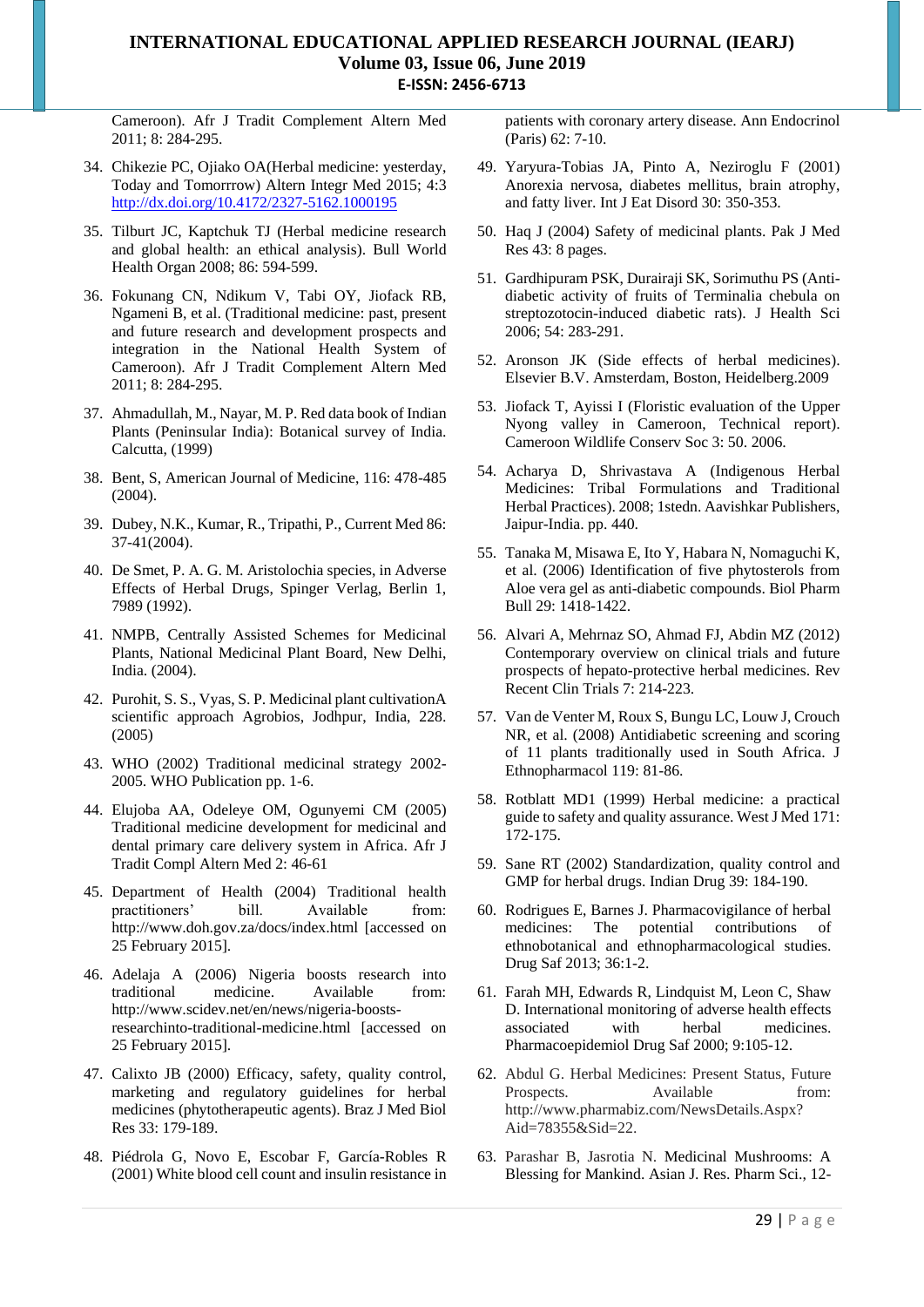Cameroon). Afr J Tradit Complement Altern Med 2011; 8: 284-295.

- 34. Chikezie PC, Ojiako OA(Herbal medicine: yesterday, Today and Tomorrrow) Altern Integr Med 2015; 4:3 <http://dx.doi.org/10.4172/2327-5162.1000195>
- 35. Tilburt JC, Kaptchuk TJ (Herbal medicine research and global health: an ethical analysis). Bull World Health Organ 2008; 86: 594-599.
- 36. Fokunang CN, Ndikum V, Tabi OY, Jiofack RB, Ngameni B, et al. (Traditional medicine: past, present and future research and development prospects and integration in the National Health System of Cameroon). Afr J Tradit Complement Altern Med 2011; 8: 284-295.
- 37. Ahmadullah, M., Nayar, M. P. Red data book of Indian Plants (Peninsular India): Botanical survey of India. Calcutta, (1999)
- 38. Bent, S, American Journal of Medicine, 116: 478-485  $(2004)$
- 39. Dubey, N.K., Kumar, R., Tripathi, P., Current Med 86: 37-41(2004).
- 40. De Smet, P. A. G. M. Aristolochia species, in Adverse Effects of Herbal Drugs, Spinger Verlag, Berlin 1, 7989 (1992).
- 41. NMPB, Centrally Assisted Schemes for Medicinal Plants, National Medicinal Plant Board, New Delhi, India. (2004).
- 42. Purohit, S. S., Vyas, S. P. Medicinal plant cultivationA scientific approach Agrobios, Jodhpur, India, 228. (2005)
- 43. WHO (2002) Traditional medicinal strategy 2002- 2005. WHO Publication pp. 1-6.
- 44. Elujoba AA, Odeleye OM, Ogunyemi CM (2005) Traditional medicine development for medicinal and dental primary care delivery system in Africa. Afr J Tradit Compl Altern Med 2: 46-61
- 45. Department of Health (2004) Traditional health practitioners' bill. Available from: http://www.doh.gov.za/docs/index.html [accessed on 25 February 2015].
- 46. Adelaja A (2006) Nigeria boosts research into traditional medicine. Available from: http://www.scidev.net/en/news/nigeria-boostsresearchinto-traditional-medicine.html [accessed on 25 February 2015].
- 47. Calixto JB (2000) Efficacy, safety, quality control, marketing and regulatory guidelines for herbal medicines (phytotherapeutic agents). Braz J Med Biol Res 33: 179-189.
- 48. Piédrola G, Novo E, Escobar F, García-Robles R (2001) White blood cell count and insulin resistance in

patients with coronary artery disease. Ann Endocrinol (Paris) 62: 7-10.

- 49. Yaryura-Tobias JA, Pinto A, Neziroglu F (2001) Anorexia nervosa, diabetes mellitus, brain atrophy, and fatty liver. Int J Eat Disord 30: 350-353.
- 50. Haq J (2004) Safety of medicinal plants. Pak J Med Res 43: 8 pages.
- 51. Gardhipuram PSK, Durairaji SK, Sorimuthu PS (Antidiabetic activity of fruits of Terminalia chebula on streptozotocin-induced diabetic rats). J Health Sci 2006; 54: 283-291.
- 52. Aronson JK (Side effects of herbal medicines). Elsevier B.V. Amsterdam, Boston, Heidelberg.2009
- 53. Jiofack T, Ayissi I (Floristic evaluation of the Upper Nyong valley in Cameroon, Technical report). Cameroon Wildlife Conserv Soc 3: 50. 2006.
- 54. Acharya D, Shrivastava A (Indigenous Herbal Medicines: Tribal Formulations and Traditional Herbal Practices). 2008; 1stedn. Aavishkar Publishers, Jaipur-India. pp. 440.
- 55. Tanaka M, Misawa E, Ito Y, Habara N, Nomaguchi K, et al. (2006) Identification of five phytosterols from Aloe vera gel as anti-diabetic compounds. Biol Pharm Bull 29: 1418-1422.
- 56. Alvari A, Mehrnaz SO, Ahmad FJ, Abdin MZ (2012) Contemporary overview on clinical trials and future prospects of hepato-protective herbal medicines. Rev Recent Clin Trials 7: 214-223.
- 57. Van de Venter M, Roux S, Bungu LC, Louw J, Crouch NR, et al. (2008) Antidiabetic screening and scoring of 11 plants traditionally used in South Africa. J Ethnopharmacol 119: 81-86.
- 58. Rotblatt MD1 (1999) Herbal medicine: a practical guide to safety and quality assurance. West J Med 171: 172-175.
- 59. Sane RT (2002) Standardization, quality control and GMP for herbal drugs. Indian Drug 39: 184-190.
- 60. Rodrigues E, Barnes J. Pharmacovigilance of herbal medicines: The potential contributions of ethnobotanical and ethnopharmacological studies. Drug Saf 2013; 36:1-2.
- 61. Farah MH, Edwards R, Lindquist M, Leon C, Shaw D. International monitoring of adverse health effects associated with herbal medicines. Pharmacoepidemiol Drug Saf 2000; 9:105-12.
- 62. Abdul G. Herbal Medicines: Present Status, Future Prospects. Available from: [http://www.pharmabiz.com/NewsDetails.A](http://www.pharmabiz.com/NewsDetails)spx? Aid=78355&Sid=22.
- 63. Parashar B, Jasrotia N. Medicinal Mushrooms: A Blessing for Mankind. Asian J. Res. Pharm Sci., 12-